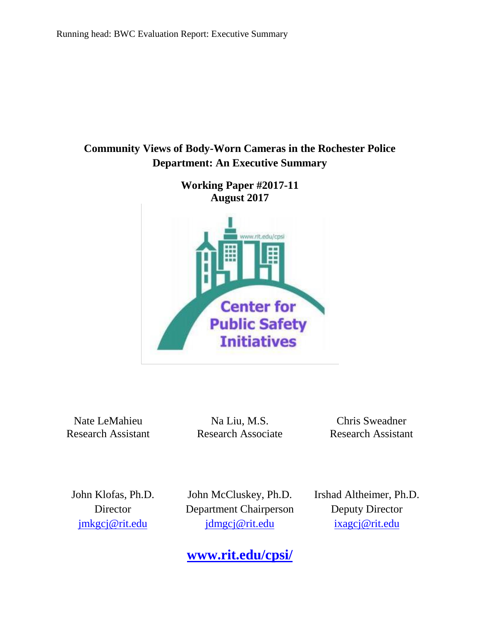# **Community Views of Body-Worn Cameras in the Rochester Police Department: An Executive Summary**

**Working Paper #2017-11 August 2017** www.rit.edu/cpsi **Center for Public Safety Initiatives** 

Nate LeMahieu Research Assistant

Na Liu, M.S. Research Associate

Chris Sweadner Research Assistant

John Klofas, Ph.D. **Director** [jmkgcj@rit.edu](mailto:jmkgcj@rit.edu)

John McCluskey, Ph.D. Department Chairperson jdmgcj@rit.edu

**[www.rit.edu/cpsi/](http://www.rit.edu/cpsi/)**

Irshad Altheimer, Ph.D. Deputy Director [ixagcj@rit.edu](mailto:ixagcj@rit.edu)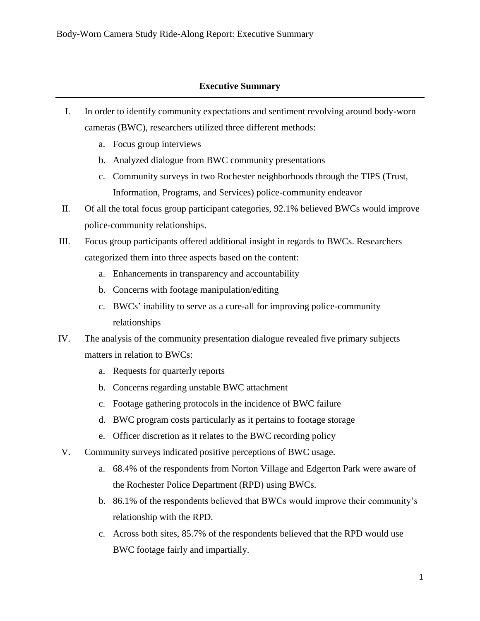## **Executive Summary**

- I. In order to identify community expectations and sentiment revolving around body-worn cameras (BWC), researchers utilized three different methods:
	- a. Focus group interviews
	- b. Analyzed dialogue from BWC community presentations
	- c. Community surveys in two Rochester neighborhoods through the TIPS (Trust, Information, Programs, and Services) police-community endeavor
- II. Of all the total focus group participant categories, 92.1% believed BWCs would improve police-community relationships.
- III. Focus group participants offered additional insight in regards to BWCs. Researchers categorized them into three aspects based on the content:
	- a. Enhancements in transparency and accountability
	- b. Concerns with footage manipulation/editing
	- c. BWCs' inability to serve as a cure-all for improving police-community relationships
- IV. The analysis of the community presentation dialogue revealed five primary subjects matters in relation to BWCs:
	- a. Requests for quarterly reports
	- b. Concerns regarding unstable BWC attachment
	- c. Footage gathering protocols in the incidence of BWC failure
	- d. BWC program costs particularly as it pertains to footage storage
	- e. Officer discretion as it relates to the BWC recording policy
- V. Community surveys indicated positive perceptions of BWC usage.
	- a. 68.4% of the respondents from Norton Village and Edgerton Park were aware of the Rochester Police Department (RPD) using BWCs.
	- b. 86.1% of the respondents believed that BWCs would improve their community's relationship with the RPD.
	- c. Across both sites, 85.7% of the respondents believed that the RPD would use BWC footage fairly and impartially.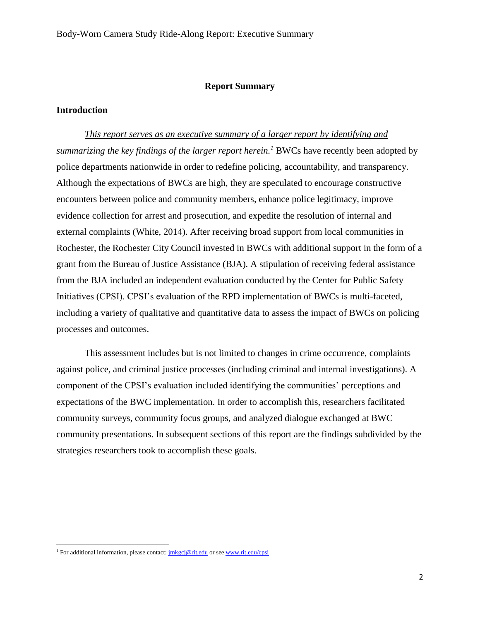#### **Report Summary**

#### **Introduction**

*This report serves as an executive summary of a larger report by identifying and summarizing the key findings of the larger report herein.<sup>1</sup>* BWCs have recently been adopted by police departments nationwide in order to redefine policing, accountability, and transparency. Although the expectations of BWCs are high, they are speculated to encourage constructive encounters between police and community members, enhance police legitimacy, improve evidence collection for arrest and prosecution, and expedite the resolution of internal and external complaints (White, 2014). After receiving broad support from local communities in Rochester, the Rochester City Council invested in BWCs with additional support in the form of a grant from the Bureau of Justice Assistance (BJA). A stipulation of receiving federal assistance from the BJA included an independent evaluation conducted by the Center for Public Safety Initiatives (CPSI). CPSI's evaluation of the RPD implementation of BWCs is multi-faceted, including a variety of qualitative and quantitative data to assess the impact of BWCs on policing processes and outcomes.

This assessment includes but is not limited to changes in crime occurrence, complaints against police, and criminal justice processes (including criminal and internal investigations). A component of the CPSI's evaluation included identifying the communities' perceptions and expectations of the BWC implementation. In order to accomplish this, researchers facilitated community surveys, community focus groups, and analyzed dialogue exchanged at BWC community presentations. In subsequent sections of this report are the findings subdivided by the strategies researchers took to accomplish these goals.

 $\overline{\phantom{a}}$ 

<sup>&</sup>lt;sup>1</sup> For additional information, please contact:  $\frac{i}{m\kappa}$  *inkgcj@rit.edu* or see [www.rit.edu/cpsi](http://www.rit.edu/cpsi)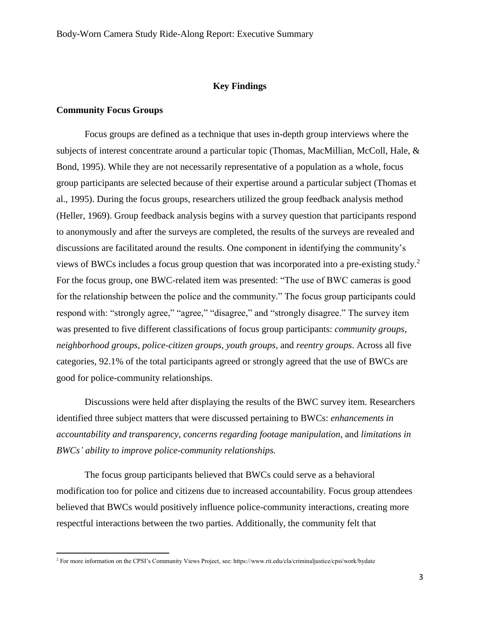### **Key Findings**

#### **Community Focus Groups**

 $\overline{\phantom{a}}$ 

Focus groups are defined as a technique that uses in-depth group interviews where the subjects of interest concentrate around a particular topic (Thomas, MacMillian, McColl, Hale, & Bond, 1995). While they are not necessarily representative of a population as a whole, focus group participants are selected because of their expertise around a particular subject (Thomas et al., 1995). During the focus groups, researchers utilized the group feedback analysis method (Heller, 1969). Group feedback analysis begins with a survey question that participants respond to anonymously and after the surveys are completed, the results of the surveys are revealed and discussions are facilitated around the results. One component in identifying the community's views of BWCs includes a focus group question that was incorporated into a pre-existing study.<sup>2</sup> For the focus group, one BWC-related item was presented: "The use of BWC cameras is good for the relationship between the police and the community." The focus group participants could respond with: "strongly agree," "agree," "disagree," and "strongly disagree." The survey item was presented to five different classifications of focus group participants: *community groups, neighborhood groups*, *police-citizen groups, youth groups*, and *reentry groups*. Across all five categories, 92.1% of the total participants agreed or strongly agreed that the use of BWCs are good for police-community relationships.

Discussions were held after displaying the results of the BWC survey item. Researchers identified three subject matters that were discussed pertaining to BWCs: *enhancements in accountability and transparency*, *concerns regarding footage manipulation*, and *limitations in BWCs' ability to improve police-community relationships.* 

The focus group participants believed that BWCs could serve as a behavioral modification too for police and citizens due to increased accountability. Focus group attendees believed that BWCs would positively influence police-community interactions, creating more respectful interactions between the two parties. Additionally, the community felt that

<sup>2</sup> For more information on the CPSI's Community Views Project, see: https://www.rit.edu/cla/criminaljustice/cpsi/work/bydate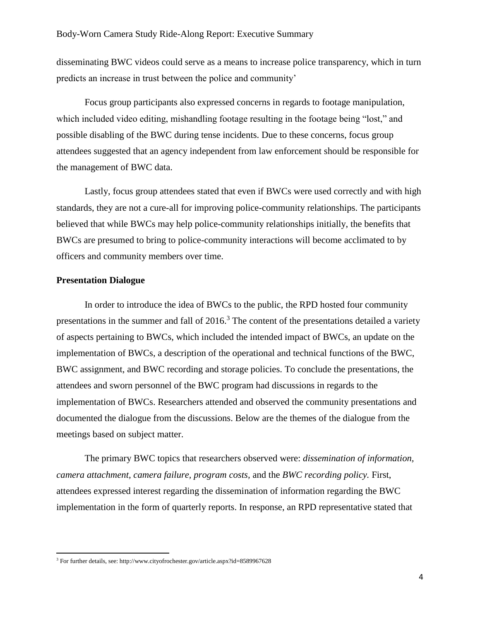disseminating BWC videos could serve as a means to increase police transparency, which in turn predicts an increase in trust between the police and community'

Focus group participants also expressed concerns in regards to footage manipulation, which included video editing, mishandling footage resulting in the footage being "lost," and possible disabling of the BWC during tense incidents. Due to these concerns, focus group attendees suggested that an agency independent from law enforcement should be responsible for the management of BWC data.

Lastly, focus group attendees stated that even if BWCs were used correctly and with high standards, they are not a cure-all for improving police-community relationships. The participants believed that while BWCs may help police-community relationships initially, the benefits that BWCs are presumed to bring to police-community interactions will become acclimated to by officers and community members over time.

#### **Presentation Dialogue**

 $\overline{\phantom{a}}$ 

In order to introduce the idea of BWCs to the public, the RPD hosted four community presentations in the summer and fall of  $2016<sup>3</sup>$ . The content of the presentations detailed a variety of aspects pertaining to BWCs, which included the intended impact of BWCs, an update on the implementation of BWCs, a description of the operational and technical functions of the BWC, BWC assignment, and BWC recording and storage policies. To conclude the presentations, the attendees and sworn personnel of the BWC program had discussions in regards to the implementation of BWCs. Researchers attended and observed the community presentations and documented the dialogue from the discussions. Below are the themes of the dialogue from the meetings based on subject matter.

The primary BWC topics that researchers observed were: *dissemination of information, camera attachment, camera failure, program costs,* and the *BWC recording policy.* First, attendees expressed interest regarding the dissemination of information regarding the BWC implementation in the form of quarterly reports. In response, an RPD representative stated that

<sup>3</sup> For further details, see: http://www.cityofrochester.gov/article.aspx?id=8589967628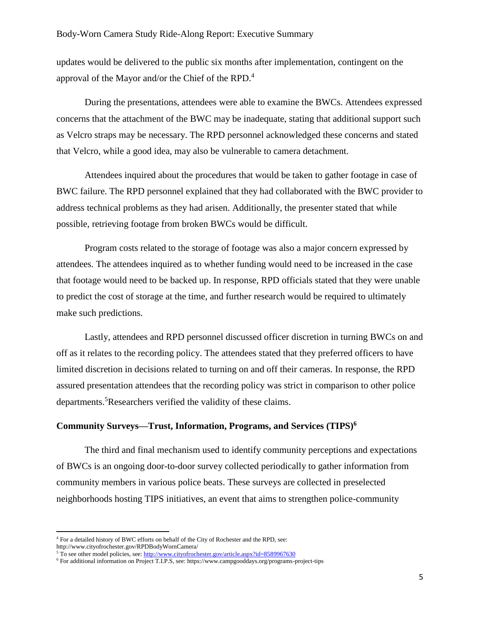updates would be delivered to the public six months after implementation, contingent on the approval of the Mayor and/or the Chief of the RPD.<sup>4</sup>

During the presentations, attendees were able to examine the BWCs. Attendees expressed concerns that the attachment of the BWC may be inadequate, stating that additional support such as Velcro straps may be necessary. The RPD personnel acknowledged these concerns and stated that Velcro, while a good idea, may also be vulnerable to camera detachment.

Attendees inquired about the procedures that would be taken to gather footage in case of BWC failure. The RPD personnel explained that they had collaborated with the BWC provider to address technical problems as they had arisen. Additionally, the presenter stated that while possible, retrieving footage from broken BWCs would be difficult.

Program costs related to the storage of footage was also a major concern expressed by attendees. The attendees inquired as to whether funding would need to be increased in the case that footage would need to be backed up. In response, RPD officials stated that they were unable to predict the cost of storage at the time, and further research would be required to ultimately make such predictions.

Lastly, attendees and RPD personnel discussed officer discretion in turning BWCs on and off as it relates to the recording policy. The attendees stated that they preferred officers to have limited discretion in decisions related to turning on and off their cameras. In response, the RPD assured presentation attendees that the recording policy was strict in comparison to other police departments.<sup>5</sup>Researchers verified the validity of these claims.

### **Community Surveys—Trust, Information, Programs, and Services (TIPS) 6**

The third and final mechanism used to identify community perceptions and expectations of BWCs is an ongoing door-to-door survey collected periodically to gather information from community members in various police beats. These surveys are collected in preselected neighborhoods hosting TIPS initiatives, an event that aims to strengthen police-community

l

<sup>&</sup>lt;sup>4</sup> For a detailed history of BWC efforts on behalf of the City of Rochester and the RPD, see: http://www.cityofrochester.gov/RPDBodyWornCamera/

 $5$  To see other model policies, see[: http://www.cityofrochester.gov/article.aspx?id=8589967630](http://www.cityofrochester.gov/article.aspx?id=8589967630)

<sup>6</sup> For additional information on Project T.I.P.S, see: https://www.campgooddays.org/programs-project-tips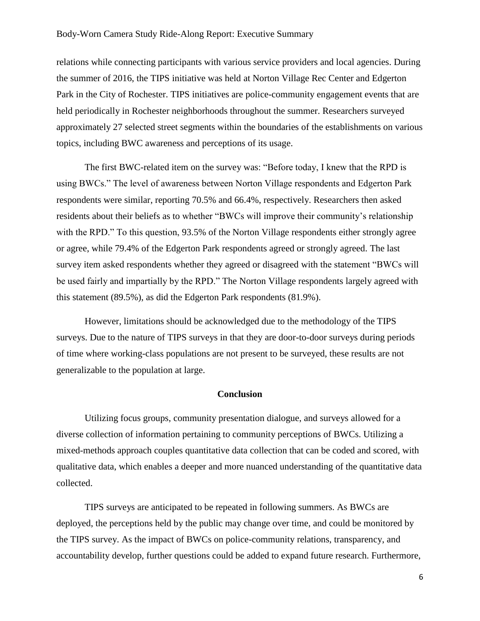#### Body-Worn Camera Study Ride-Along Report: Executive Summary

relations while connecting participants with various service providers and local agencies. During the summer of 2016, the TIPS initiative was held at Norton Village Rec Center and Edgerton Park in the City of Rochester. TIPS initiatives are police-community engagement events that are held periodically in Rochester neighborhoods throughout the summer. Researchers surveyed approximately 27 selected street segments within the boundaries of the establishments on various topics, including BWC awareness and perceptions of its usage.

The first BWC-related item on the survey was: "Before today, I knew that the RPD is using BWCs." The level of awareness between Norton Village respondents and Edgerton Park respondents were similar, reporting 70.5% and 66.4%, respectively. Researchers then asked residents about their beliefs as to whether "BWCs will improve their community's relationship with the RPD." To this question, 93.5% of the Norton Village respondents either strongly agree or agree, while 79.4% of the Edgerton Park respondents agreed or strongly agreed. The last survey item asked respondents whether they agreed or disagreed with the statement "BWCs will be used fairly and impartially by the RPD." The Norton Village respondents largely agreed with this statement (89.5%), as did the Edgerton Park respondents (81.9%).

However, limitations should be acknowledged due to the methodology of the TIPS surveys. Due to the nature of TIPS surveys in that they are door-to-door surveys during periods of time where working-class populations are not present to be surveyed, these results are not generalizable to the population at large.

#### **Conclusion**

Utilizing focus groups, community presentation dialogue, and surveys allowed for a diverse collection of information pertaining to community perceptions of BWCs. Utilizing a mixed-methods approach couples quantitative data collection that can be coded and scored, with qualitative data, which enables a deeper and more nuanced understanding of the quantitative data collected.

TIPS surveys are anticipated to be repeated in following summers. As BWCs are deployed, the perceptions held by the public may change over time, and could be monitored by the TIPS survey. As the impact of BWCs on police-community relations, transparency, and accountability develop, further questions could be added to expand future research. Furthermore,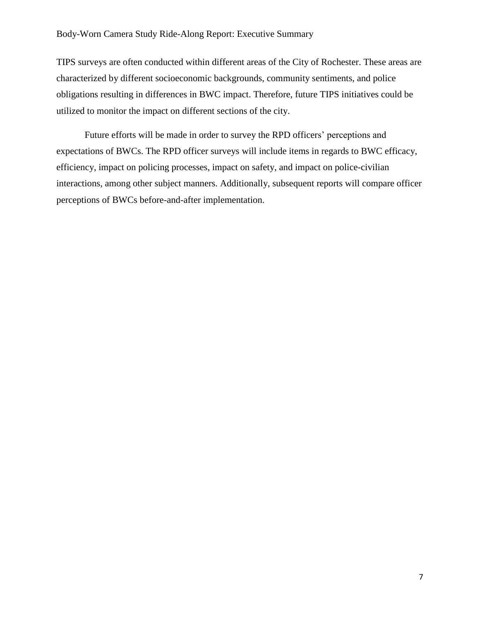#### Body-Worn Camera Study Ride-Along Report: Executive Summary

TIPS surveys are often conducted within different areas of the City of Rochester. These areas are characterized by different socioeconomic backgrounds, community sentiments, and police obligations resulting in differences in BWC impact. Therefore, future TIPS initiatives could be utilized to monitor the impact on different sections of the city.

Future efforts will be made in order to survey the RPD officers' perceptions and expectations of BWCs. The RPD officer surveys will include items in regards to BWC efficacy, efficiency, impact on policing processes, impact on safety, and impact on police-civilian interactions, among other subject manners. Additionally, subsequent reports will compare officer perceptions of BWCs before-and-after implementation.